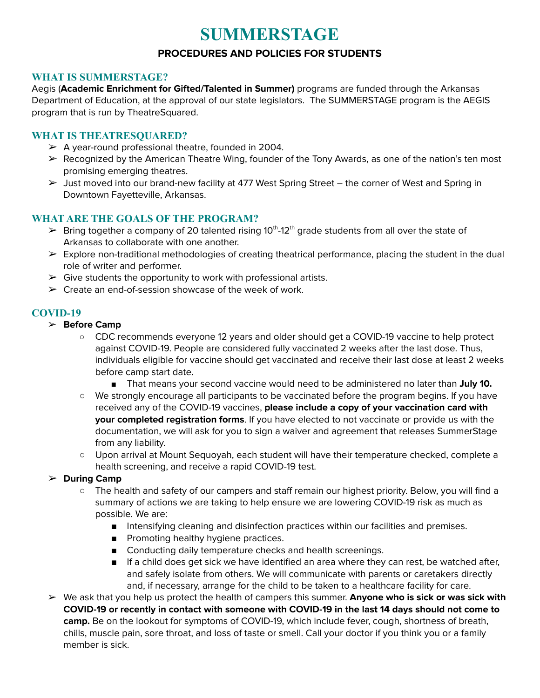# **SUMMERSTAGE**

### **PROCEDURES AND POLICIES FOR STUDENTS**

#### **WHAT IS SUMMERSTAGE?**

Aegis (**Academic Enrichment for Gifted/Talented in Summer)** programs are funded through the Arkansas Department of Education, at the approval of our state legislators. The SUMMERSTAGE program is the AEGIS program that is run by TheatreSquared.

#### **WHAT IS THEATRESQUARED?**

- $\triangleright$  A year-round professional theatre, founded in 2004.
- ➢ Recognized by the American Theatre Wing, founder of the Tony Awards, as one of the nation's ten most promising emerging theatres.
- $\triangleright$  Just moved into our brand-new facility at 477 West Spring Street the corner of West and Spring in Downtown Fayetteville, Arkansas.

#### **WHAT ARE THE GOALS OF THE PROGRAM?**

- $\triangleright$  Bring together a company of 20 talented rising 10<sup>th</sup>-12<sup>th</sup> grade students from all over the state of Arkansas to collaborate with one another.
- $\triangleright$  Explore non-traditional methodologies of creating theatrical performance, placing the student in the dual role of writer and performer.
- $\triangleright$  Give students the opportunity to work with professional artists.
- $\triangleright$  Create an end-of-session showcase of the week of work.

#### **COVID-19**

- ➢ **Before Camp**
	- **○** CDC recommends everyone 12 years and older should get a COVID-19 vaccine to help protect against COVID-19. People are considered fully vaccinated 2 weeks after the last dose. Thus, individuals eligible for vaccine should get vaccinated and receive their last dose at least 2 weeks before camp start date.
		- That means your second vaccine would need to be administered no later than July 10.
	- We strongly encourage all participants to be vaccinated before the program begins. If you have received any of the COVID-19 vaccines, **please include a copy of your vaccination card with your completed registration forms**. If you have elected to not vaccinate or provide us with the documentation, we will ask for you to sign a waiver and agreement that releases SummerStage from any liability.
	- Upon arrival at Mount Sequoyah, each student will have their temperature checked, complete a health screening, and receive a rapid COVID-19 test.

#### ➢ **During Camp**

- The health and safety of our campers and staff remain our highest priority. Below, you will find a summary of actions we are taking to help ensure we are lowering COVID-19 risk as much as possible. We are:
	- Intensifying cleaning and disinfection practices within our facilities and premises.
	- Promoting healthy hygiene practices.
	- Conducting daily temperature checks and health screenings.
	- If a child does get sick we have identified an area where they can rest, be watched after, and safely isolate from others. We will communicate with parents or caretakers directly and, if necessary, arrange for the child to be taken to a healthcare facility for care.
- ➢ We ask that you help us protect the health of campers this summer. **Anyone who is sick or was sick with COVID-19 or recently in contact with someone with COVID-19 in the last 14 days should not come to camp.** Be on the lookout for symptoms of COVID-19, which include fever, cough, shortness of breath, chills, muscle pain, sore throat, and loss of taste or smell. Call your doctor if you think you or a family member is sick.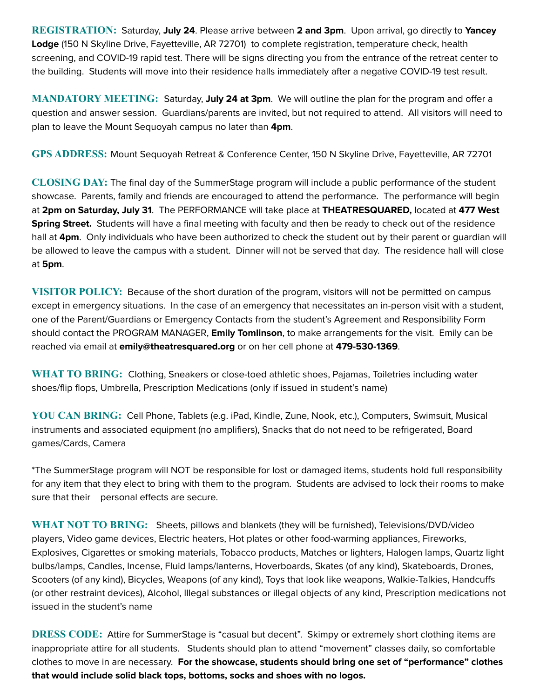**REGISTRATION:** Saturday, **July 24**. Please arrive between **2 and 3pm**. Upon arrival, go directly to **Yancey Lodge** (150 N Skyline Drive, Fayetteville, AR 72701) to complete registration, temperature check, health screening, and COVID-19 rapid test. There will be signs directing you from the entrance of the retreat center to the building. Students will move into their residence halls immediately after a negative COVID-19 test result.

**MANDATORY MEETING:** Saturday, **July 24 at 3pm**. We will outline the plan for the program and offer a question and answer session. Guardians/parents are invited, but not required to attend. All visitors will need to plan to leave the Mount Sequoyah campus no later than **4pm**.

**GPS ADDRESS:** Mount Sequoyah Retreat & Conference Center, 150 N Skyline Drive, Fayetteville, AR 72701

**CLOSING DAY:** The final day of the SummerStage program will include a public performance of the student showcase. Parents, family and friends are encouraged to attend the performance. The performance will begin at **2pm on Saturday, July 31**. The PERFORMANCE will take place at **THEATRESQUARED,** located at **477 West Spring Street.** Students will have a final meeting with faculty and then be ready to check out of the residence hall at **4pm**. Only individuals who have been authorized to check the student out by their parent or guardian will be allowed to leave the campus with a student. Dinner will not be served that day. The residence hall will close at **5pm**.

**VISITOR POLICY:** Because of the short duration of the program, visitors will not be permitted on campus except in emergency situations. In the case of an emergency that necessitates an in-person visit with a student, one of the Parent/Guardians or Emergency Contacts from the student's Agreement and Responsibility Form should contact the PROGRAM MANAGER, **Emily Tomlinson**, to make arrangements for the visit. Emily can be reached via email at **emily@theatresquared.org** or on her cell phone at **479-530-1369**.

**WHAT TO BRING:** Clothing, Sneakers or close-toed athletic shoes, Pajamas, Toiletries including water shoes/flip flops, Umbrella, Prescription Medications (only if issued in student's name)

**YOU CAN BRING:** Cell Phone, Tablets (e.g. iPad, Kindle, Zune, Nook, etc.), Computers, Swimsuit, Musical instruments and associated equipment (no amplifiers), Snacks that do not need to be refrigerated, Board games/Cards, Camera

\*The SummerStage program will NOT be responsible for lost or damaged items, students hold full responsibility for any item that they elect to bring with them to the program. Students are advised to lock their rooms to make sure that their personal effects are secure.

**WHAT NOT TO BRING:** Sheets, pillows and blankets (they will be furnished), Televisions/DVD/video players, Video game devices, Electric heaters, Hot plates or other food-warming appliances, Fireworks, Explosives, Cigarettes or smoking materials, Tobacco products, Matches or lighters, Halogen lamps, Quartz light bulbs/lamps, Candles, Incense, Fluid lamps/lanterns, Hoverboards, Skates (of any kind), Skateboards, Drones, Scooters (of any kind), Bicycles, Weapons (of any kind), Toys that look like weapons, Walkie-Talkies, Handcuffs (or other restraint devices), Alcohol, Illegal substances or illegal objects of any kind, Prescription medications not issued in the student's name

**DRESS CODE:** Attire for SummerStage is "casual but decent". Skimpy or extremely short clothing items are inappropriate attire for all students. Students should plan to attend "movement" classes daily, so comfortable clothes to move in are necessary. **For the showcase, students should bring one set of "performance" clothes that would include solid black tops, bottoms, socks and shoes with no logos.**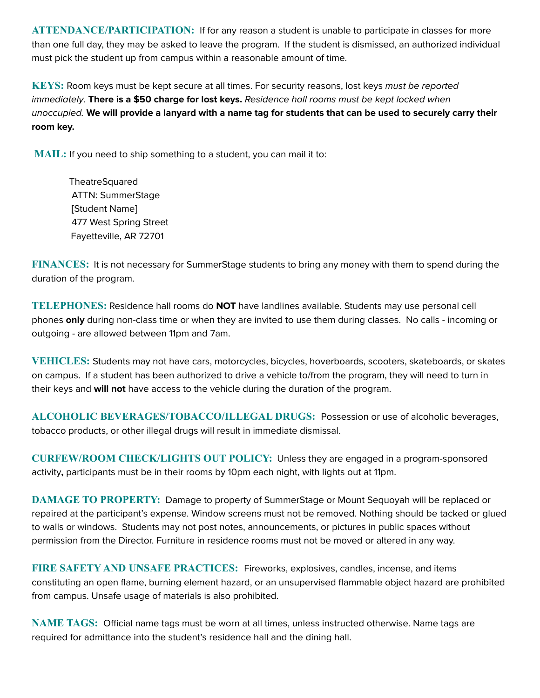**ATTENDANCE/PARTICIPATION:** If for any reason a student is unable to participate in classes for more than one full day, they may be asked to leave the program. If the student is dismissed, an authorized individual must pick the student up from campus within a reasonable amount of time.

**KEYS:** Room keys must be kept secure at all times. For security reasons, lost keys must be reported immediately. **There is a \$50 charge for lost keys.** Residence hall rooms must be kept locked when unoccupied. We will provide a lanyard with a name tag for students that can be used to securely carry their **room key.**

**MAIL:** If you need to ship something to a student, you can mail it to:

**TheatreSquared** ATTN: SummerStage **[**Student Name] 477 West Spring Street Fayetteville, AR 72701

**FINANCES:** It is not necessary for SummerStage students to bring any money with them to spend during the duration of the program.

**TELEPHONES:** Residence hall rooms do **NOT** have landlines available. Students may use personal cell phones **only** during non-class time or when they are invited to use them during classes. No calls - incoming or outgoing - are allowed between 11pm and 7am.

**VEHICLES:** Students may not have cars, motorcycles, bicycles, hoverboards, scooters, skateboards, or skates on campus. If a student has been authorized to drive a vehicle to/from the program, they will need to turn in their keys and **will not** have access to the vehicle during the duration of the program.

**ALCOHOLIC BEVERAGES/TOBACCO/ILLEGAL DRUGS:** Possession or use of alcoholic beverages, tobacco products, or other illegal drugs will result in immediate dismissal.

**CURFEW/ROOM CHECK/LIGHTS OUT POLICY:** Unless they are engaged in a program-sponsored activity**,** participants must be in their rooms by 10pm each night, with lights out at 11pm.

**DAMAGE TO PROPERTY:** Damage to property of SummerStage or Mount Sequoyah will be replaced or repaired at the participant's expense. Window screens must not be removed. Nothing should be tacked or glued to walls or windows. Students may not post notes, announcements, or pictures in public spaces without permission from the Director. Furniture in residence rooms must not be moved or altered in any way.

**FIRE SAFETY AND UNSAFE PRACTICES:** Fireworks, explosives, candles, incense, and items constituting an open flame, burning element hazard, or an unsupervised flammable object hazard are prohibited from campus. Unsafe usage of materials is also prohibited.

**NAME TAGS:** Official name tags must be worn at all times, unless instructed otherwise. Name tags are required for admittance into the student's residence hall and the dining hall.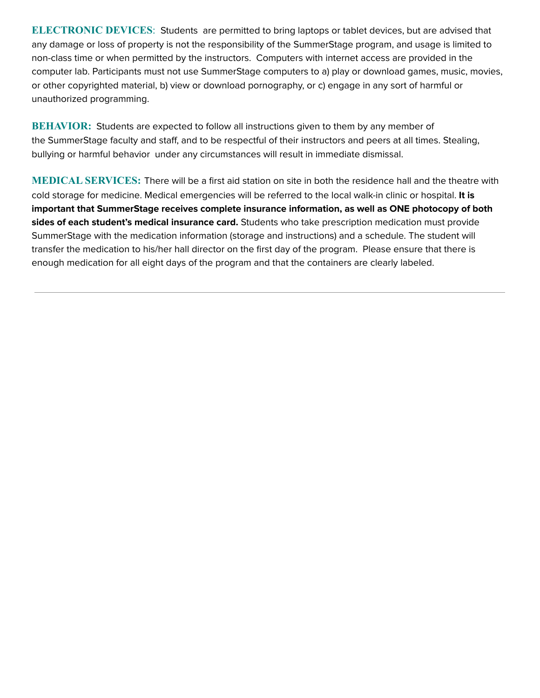**ELECTRONIC DEVICES**: Students are permitted to bring laptops or tablet devices, but are advised that any damage or loss of property is not the responsibility of the SummerStage program, and usage is limited to non-class time or when permitted by the instructors. Computers with internet access are provided in the computer lab. Participants must not use SummerStage computers to a) play or download games, music, movies, or other copyrighted material, b) view or download pornography, or c) engage in any sort of harmful or unauthorized programming.

**BEHAVIOR:** Students are expected to follow all instructions given to them by any member of the SummerStage faculty and staff, and to be respectful of their instructors and peers at all times. Stealing, bullying or harmful behavior under any circumstances will result in immediate dismissal.

**MEDICAL SERVICES:** There will be a first aid station on site in both the residence hall and the theatre with cold storage for medicine. Medical emergencies will be referred to the local walk-in clinic or hospital. **It is important that SummerStage receives complete insurance information, as well as ONE photocopy of both sides of each student's medical insurance card.** Students who take prescription medication must provide SummerStage with the medication information (storage and instructions) and a schedule. The student will transfer the medication to his/her hall director on the first day of the program. Please ensure that there is enough medication for all eight days of the program and that the containers are clearly labeled.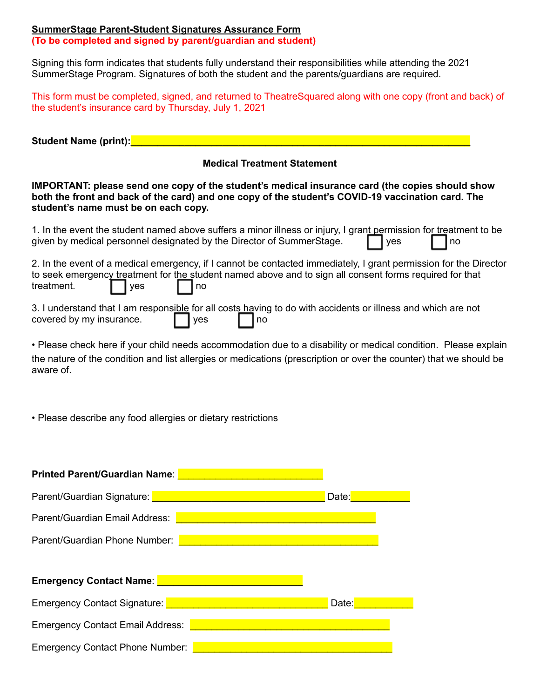#### **SummerStage Parent-Student Signatures Assurance Form (To be completed and signed by parent/guardian and student)**

Signing this form indicates that students fully understand their responsibilities while attending the 2021 SummerStage Program. Signatures of both the student and the parents/guardians are required.

| This form must be completed, signed, and returned to TheatreSquared along with one copy (front and back) of |  |  |
|-------------------------------------------------------------------------------------------------------------|--|--|
| the student's insurance card by Thursday, July 1, 2021                                                      |  |  |

Student Name (print): **Name** 

#### **Medical Treatment Statement**

#### **IMPORTANT: please send one copy of the student's medical insurance card (the copies should show both the front and back of the card) and one copy of the student's COVID-19 vaccination card. The student's name must be on each copy.**

| 1. In the event the student named above suffers a minor illness or injury, I grant permission for treatment to be |           |
|-------------------------------------------------------------------------------------------------------------------|-----------|
| given by medical personnel designated by the Director of SummerStage. <b>The analytic state</b>                   | $\Box$ no |

2. In the event of a medical emergency, if I cannot be contacted immediately, I grant permission for the Director to seek emergency treatment for the student named above and to sign all consent forms required for that treatment.  $\Box$  yes  $\Box$  no

3. I understand that I am responsible for all costs having to do with accidents or illness and which are not covered by my insurance.  $\Box$  yes  $\Box$  no

• Please check here if your child needs accommodation due to a disability or medical condition. Please explain the nature of the condition and list allergies or medications (prescription or over the counter) that we should be aware of.

• Please describe any food allergies or dietary restrictions

| <b>Printed Parent/Guardian Name:</b>    |       |
|-----------------------------------------|-------|
| Parent/Guardian Signature:              | Date: |
| Parent/Guardian Email Address:          |       |
| Parent/Guardian Phone Number:           |       |
|                                         |       |
| <b>Emergency Contact Name:</b>          |       |
| Emergency Contact Signature:            | Date: |
| <b>Emergency Contact Email Address:</b> |       |
| <b>Emergency Contact Phone Number:</b>  |       |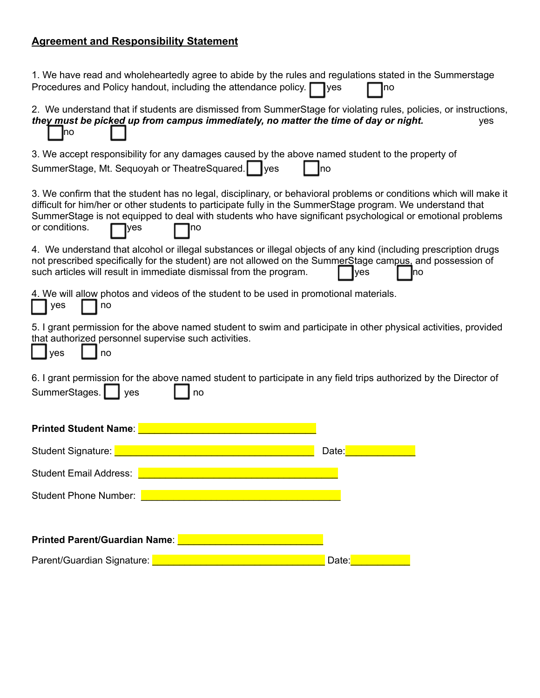# **Agreement and Responsibility Statement**

| 1. We have read and wholeheartedly agree to abide by the rules and regulations stated in the Summerstage<br>Procedures and Policy handout, including the attendance policy.<br>$\exists$ yes<br>no                                                                                                                                                                             |
|--------------------------------------------------------------------------------------------------------------------------------------------------------------------------------------------------------------------------------------------------------------------------------------------------------------------------------------------------------------------------------|
| 2. We understand that if students are dismissed from SummerStage for violating rules, policies, or instructions,<br>they must be picked up from campus immediately, no matter the time of day or night.<br>yes<br><b>I</b> no                                                                                                                                                  |
| 3. We accept responsibility for any damages caused by the above named student to the property of<br>SummerStage, Mt. Sequoyah or TheatreSquared.   yes<br>Ino                                                                                                                                                                                                                  |
| 3. We confirm that the student has no legal, disciplinary, or behavioral problems or conditions which will make it<br>difficult for him/her or other students to participate fully in the SummerStage program. We understand that<br>SummerStage is not equipped to deal with students who have significant psychological or emotional problems<br>or conditions.<br>yes<br>no |
| 4. We understand that alcohol or illegal substances or illegal objects of any kind (including prescription drugs<br>not prescribed specifically for the student) are not allowed on the SummerStage campus, and possession of<br>such articles will result in immediate dismissal from the program.<br>yes<br>no                                                               |
| 4. We will allow photos and videos of the student to be used in promotional materials.<br>yes<br>no                                                                                                                                                                                                                                                                            |
| 5. I grant permission for the above named student to swim and participate in other physical activities, provided<br>that authorized personnel supervise such activities.<br>yes<br>no                                                                                                                                                                                          |
| 6. I grant permission for the above named student to participate in any field trips authorized by the Director of<br>SummerStages.<br>yes<br>no                                                                                                                                                                                                                                |
| <b>Printed Student Name:</b>                                                                                                                                                                                                                                                                                                                                                   |
| <b>Student Signature:</b><br>Date:                                                                                                                                                                                                                                                                                                                                             |
| <b>Student Email Address:</b>                                                                                                                                                                                                                                                                                                                                                  |
| Student Phone Number:                                                                                                                                                                                                                                                                                                                                                          |
| <b>Printed Parent/Guardian Name:</b>                                                                                                                                                                                                                                                                                                                                           |
| Parent/Guardian Signature: Parent/Guardian Signature:<br>Date:                                                                                                                                                                                                                                                                                                                 |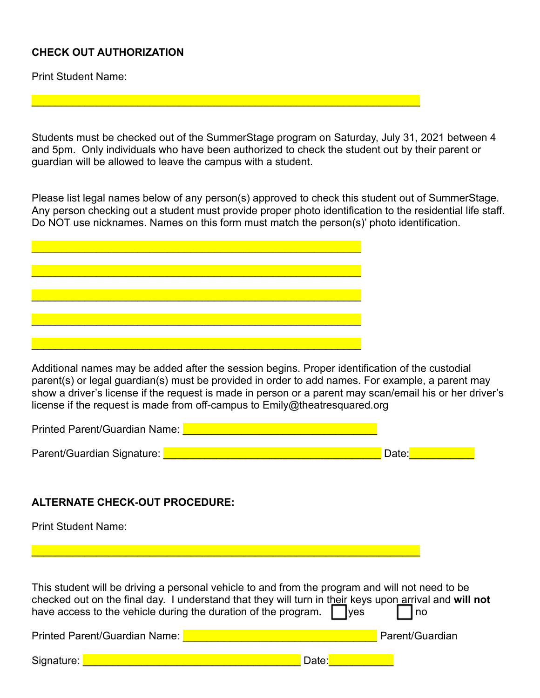# **CHECK OUT AUTHORIZATION**

Print Student Name:

Students must be checked out of the SummerStage program on Saturday, July 31, 2021 between 4 and 5pm. Only individuals who have been authorized to check the student out by their parent or guardian will be allowed to leave the campus with a student.

Please list legal names below of any person(s) approved to check this student out of SummerStage. Any person checking out a student must provide proper photo identification to the residential life staff. Do NOT use nicknames. Names on this form must match the person(s)' photo identification.

Additional names may be added after the session begins. Proper identification of the custodial parent(s) or legal guardian(s) must be provided in order to add names. For example, a parent may show a driver's license if the request is made in person or a parent may scan/email his or her driver's license if the request is made from off-campus to Emily@theatresquared.org

| Printed Parent/Guardian Name: |       |
|-------------------------------|-------|
|                               |       |
| Parent/Guardian Signature:    | Date: |

### **ALTERNATE CHECK-OUT PROCEDURE:**

Print Student Name:

This student will be driving a personal vehicle to and from the program and will not need to be checked out on the final day. I understand that they will turn in their keys upon arrival and **will not** have access to the vehicle during the duration of the program.  $\Box$  yes  $\Box$  no Printed Parent/Guardian Name: **Exercise 2018** Parent/Guardian Signature: \_\_\_\_\_\_\_\_\_\_\_\_\_\_\_\_\_\_\_\_\_\_\_\_\_\_\_\_\_\_\_\_\_\_\_\_\_ Date:\_\_\_\_\_\_\_\_\_\_\_

 $\mathcal{L}_\mathcal{L} = \mathcal{L}_\mathcal{L} = \mathcal{L}_\mathcal{L} = \mathcal{L}_\mathcal{L} = \mathcal{L}_\mathcal{L} = \mathcal{L}_\mathcal{L} = \mathcal{L}_\mathcal{L} = \mathcal{L}_\mathcal{L} = \mathcal{L}_\mathcal{L} = \mathcal{L}_\mathcal{L} = \mathcal{L}_\mathcal{L} = \mathcal{L}_\mathcal{L} = \mathcal{L}_\mathcal{L} = \mathcal{L}_\mathcal{L} = \mathcal{L}_\mathcal{L} = \mathcal{L}_\mathcal{L} = \mathcal{L}_\mathcal{L}$